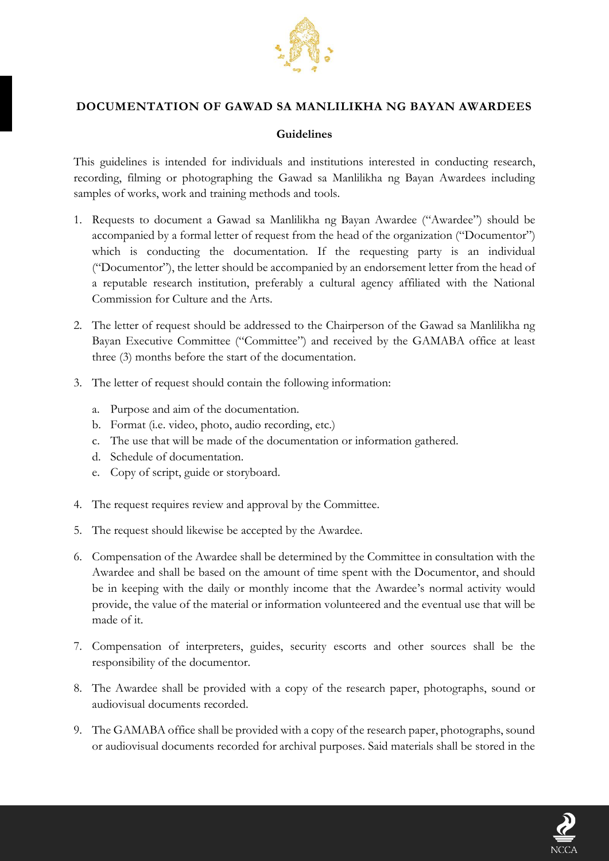

## **DOCUMENTATION OF GAWAD SA MANLILIKHA NG BAYAN AWARDEES**

## **Guidelines**

This guidelines is intended for individuals and institutions interested in conducting research, recording, filming or photographing the Gawad sa Manlilikha ng Bayan Awardees including samples of works, work and training methods and tools.

- 1. Requests to document a Gawad sa Manlilikha ng Bayan Awardee ("Awardee") should be accompanied by a formal letter of request from the head of the organization ("Documentor") which is conducting the documentation. If the requesting party is an individual ("Documentor"), the letter should be accompanied by an endorsement letter from the head of a reputable research institution, preferably a cultural agency affiliated with the National Commission for Culture and the Arts.
- 2. The letter of request should be addressed to the Chairperson of the Gawad sa Manlilikha ng Bayan Executive Committee ("Committee") and received by the GAMABA office at least three (3) months before the start of the documentation.
- 3. The letter of request should contain the following information:
	- a. Purpose and aim of the documentation.
	- b. Format (i.e. video, photo, audio recording, etc.)
	- c. The use that will be made of the documentation or information gathered.
	- d. Schedule of documentation.
	- e. Copy of script, guide or storyboard.
- 4. The request requires review and approval by the Committee.
- 5. The request should likewise be accepted by the Awardee.
- 6. Compensation of the Awardee shall be determined by the Committee in consultation with the Awardee and shall be based on the amount of time spent with the Documentor, and should be in keeping with the daily or monthly income that the Awardee's normal activity would provide, the value of the material or information volunteered and the eventual use that will be made of it.
- 7. Compensation of interpreters, guides, security escorts and other sources shall be the responsibility of the documentor.
- 8. The Awardee shall be provided with a copy of the research paper, photographs, sound or audiovisual documents recorded.
- 9. The GAMABA office shall be provided with a copy of the research paper, photographs, sound or audiovisual documents recorded for archival purposes. Said materials shall be stored in the